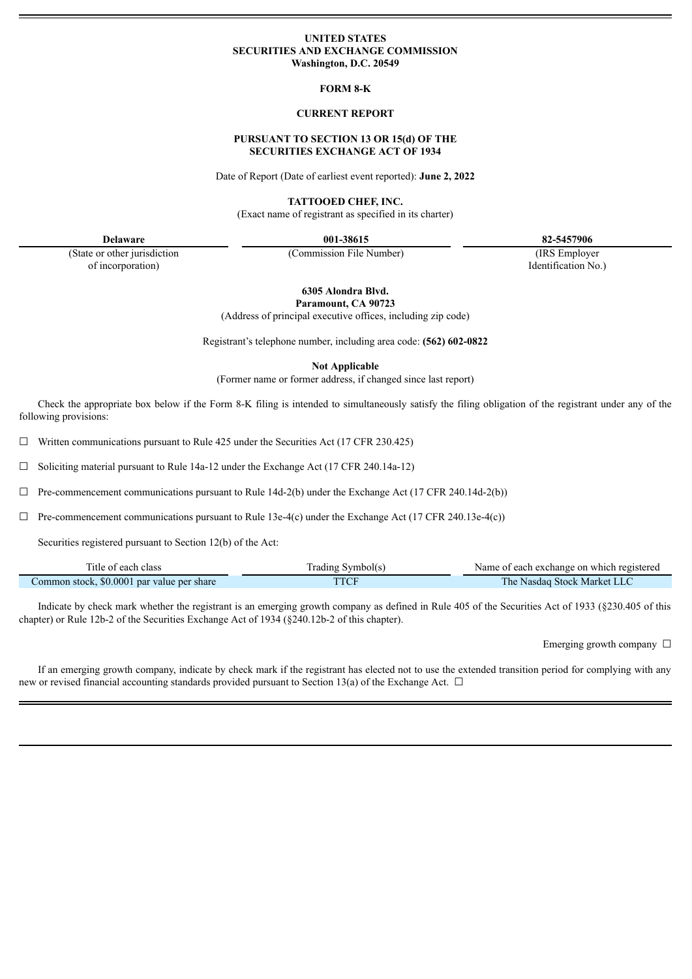#### **UNITED STATES SECURITIES AND EXCHANGE COMMISSION Washington, D.C. 20549**

**FORM 8-K**

#### **CURRENT REPORT**

## **PURSUANT TO SECTION 13 OR 15(d) OF THE SECURITIES EXCHANGE ACT OF 1934**

Date of Report (Date of earliest event reported): **June 2, 2022**

**TATTOOED CHEF, INC.**

(Exact name of registrant as specified in its charter)

**Delaware 001-38615 82-5457906**

(State or other jurisdiction of incorporation)

(Commission File Number) (IRS Employer

Identification No.)

**6305 Alondra Blvd. Paramount, CA 90723**

(Address of principal executive offices, including zip code)

Registrant's telephone number, including area code: **(562) 602-0822**

**Not Applicable**

(Former name or former address, if changed since last report)

Check the appropriate box below if the Form 8-K filing is intended to simultaneously satisfy the filing obligation of the registrant under any of the following provisions:

 $\Box$  Written communications pursuant to Rule 425 under the Securities Act (17 CFR 230.425)

 $\Box$  Soliciting material pursuant to Rule 14a-12 under the Exchange Act (17 CFR 240.14a-12)

 $\Box$  Pre-commencement communications pursuant to Rule 14d-2(b) under the Exchange Act (17 CFR 240.14d-2(b))

 $\Box$  Pre-commencement communications pursuant to Rule 13e-4(c) under the Exchange Act (17 CFR 240.13e-4(c))

Securities registered pursuant to Section 12(b) of the Act:

| l'itle of each class                       | frading Symbol(s | Name of each exchange on which registered |
|--------------------------------------------|------------------|-------------------------------------------|
| Common stock, \$0,0001 par value per share | <b>TTCF</b>      | The.<br>• Nasdaq Stock Market LLC         |

Indicate by check mark whether the registrant is an emerging growth company as defined in Rule 405 of the Securities Act of 1933 (§230.405 of this chapter) or Rule 12b-2 of the Securities Exchange Act of 1934 (§240.12b-2 of this chapter).

Emerging growth company  $\Box$ 

If an emerging growth company, indicate by check mark if the registrant has elected not to use the extended transition period for complying with any new or revised financial accounting standards provided pursuant to Section 13(a) of the Exchange Act.  $\Box$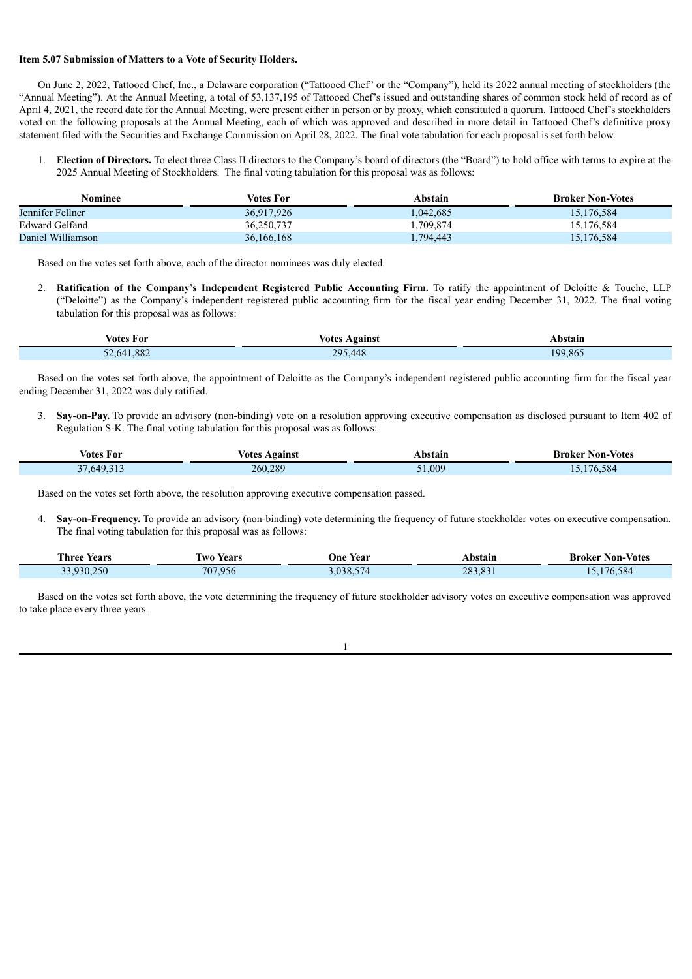### **Item 5.07 Submission of Matters to a Vote of Security Holders.**

e.

On June 2, 2022, Tattooed Chef, Inc., a Delaware corporation ("Tattooed Chef" or the "Company"), held its 2022 annual meeting of stockholders (the "Annual Meeting"). At the Annual Meeting, a total of 53,137,195 of Tattooed Chef's issued and outstanding shares of common stock held of record as of April 4, 2021, the record date for the Annual Meeting, were present either in person or by proxy, which constituted a quorum. Tattooed Chef's stockholders voted on the following proposals at the Annual Meeting, each of which was approved and described in more detail in Tattooed Chef's definitive proxy statement filed with the Securities and Exchange Commission on April 28, 2022. The final vote tabulation for each proposal is set forth below.

1. **Election of Directors.** To elect three Class II directors to the Company's board of directors (the "Board") to hold office with terms to expire at the 2025 Annual Meeting of Stockholders. The final voting tabulation for this proposal was as follows:

| Nominee           | Votes For  | Abstain  | <b>Broker Non-Votes</b> |
|-------------------|------------|----------|-------------------------|
| Jennifer Fellner  | 36,917,926 | .042,685 | 15,176,584              |
| Edward Gelfand    | 36,250,737 | .709,874 | 15,176,584              |
| Daniel Williamson | 36,166,168 | .794,443 | 15,176,584              |

Based on the votes set forth above, each of the director nominees was duly elected.

2. **Ratification of the Company's Independent Registered Public Accounting Firm.** To ratify the appointment of Deloitte & Touche, LLP ("Deloitte") as the Company's independent registered public accounting firm for the fiscal year ending December 31, 2022. The final voting tabulation for this proposal was as follows:

| Votes For  | votes<br>Against | Abstain |
|------------|------------------|---------|
| 52,641,882 | 295,448          | 199,865 |

Based on the votes set forth above, the appointment of Deloitte as the Company's independent registered public accounting firm for the fiscal year ending December 31, 2022 was duly ratified.

3. **Say-on-Pay.** To provide an advisory (non-binding) vote on a resolution approving executive compensation as disclosed pursuant to Item 402 of Regulation S-K. The final voting tabulation for this proposal was as follows:

| Votes For                      | votes<br>Against | Abstain | <b>Broker Non-Votes</b> |
|--------------------------------|------------------|---------|-------------------------|
| 649.312<br>$\sim$ $-$<br>.31.3 | 260,289          | 1,009   | 176,584                 |

Based on the votes set forth above, the resolution approving executive compensation passed.

4. **Say-on-Frequency.** To provide an advisory (non-binding) vote determining the frequency of future stockholder votes on executive compensation. The final voting tabulation for this proposal was as follows:

| <b>CONTRACTOR</b><br>l'hree Years | --<br>Years<br>l wo | One Year | Abstain | <b>Broker Non-Votes</b> |
|-----------------------------------|---------------------|----------|---------|-------------------------|
| 33,930,250                        | 707,956             | 3,038,57 | 283.83  | ,176,584                |

Based on the votes set forth above, the vote determining the frequency of future stockholder advisory votes on executive compensation was approved to take place every three years.

1